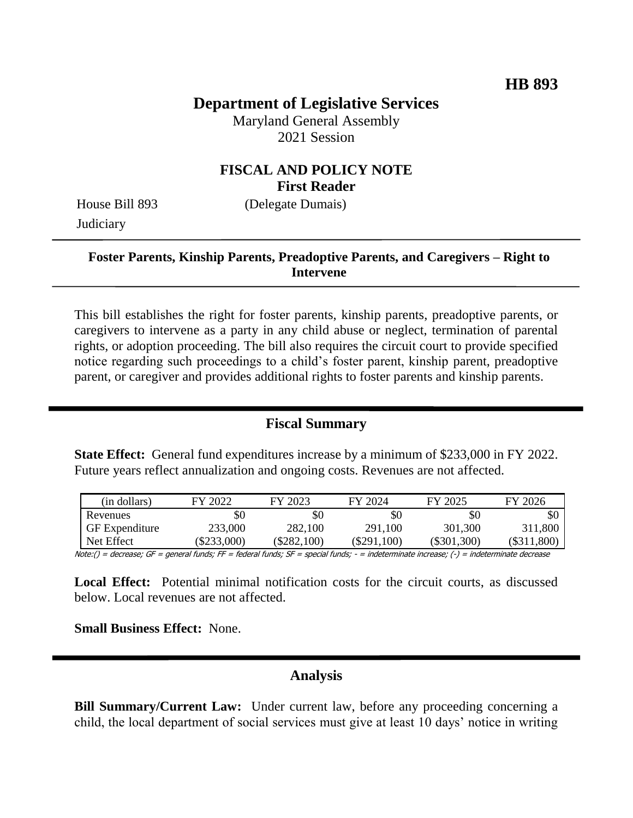# **Department of Legislative Services**

Maryland General Assembly 2021 Session

### **FISCAL AND POLICY NOTE First Reader**

House Bill 893 (Delegate Dumais) **Judiciary** 

### **Foster Parents, Kinship Parents, Preadoptive Parents, and Caregivers – Right to Intervene**

This bill establishes the right for foster parents, kinship parents, preadoptive parents, or caregivers to intervene as a party in any child abuse or neglect, termination of parental rights, or adoption proceeding. The bill also requires the circuit court to provide specified notice regarding such proceedings to a child's foster parent, kinship parent, preadoptive parent, or caregiver and provides additional rights to foster parents and kinship parents.

### **Fiscal Summary**

**State Effect:** General fund expenditures increase by a minimum of \$233,000 in FY 2022. Future years reflect annualization and ongoing costs. Revenues are not affected.

| (in dollars)          | FY 2022   | FY 2023       | FY 2024       | FY 2025       | FY 2026       |
|-----------------------|-----------|---------------|---------------|---------------|---------------|
| Revenues              | \$0       | \$0           | \$0           | \$0           | SC            |
| <b>GF</b> Expenditure | 233,000   | 282,100       | 291,100       | 301,300       | 311,800       |
| Net Effect            | \$233,000 | $(\$282,100)$ | $(\$291,100)$ | $(\$301,300)$ | $(\$311,800)$ |

Note:() = decrease; GF = general funds; FF = federal funds; SF = special funds; - = indeterminate increase; (-) = indeterminate decrease

**Local Effect:** Potential minimal notification costs for the circuit courts, as discussed below. Local revenues are not affected.

**Small Business Effect:** None.

#### **Analysis**

**Bill Summary/Current Law:** Under current law, before any proceeding concerning a child, the local department of social services must give at least 10 days' notice in writing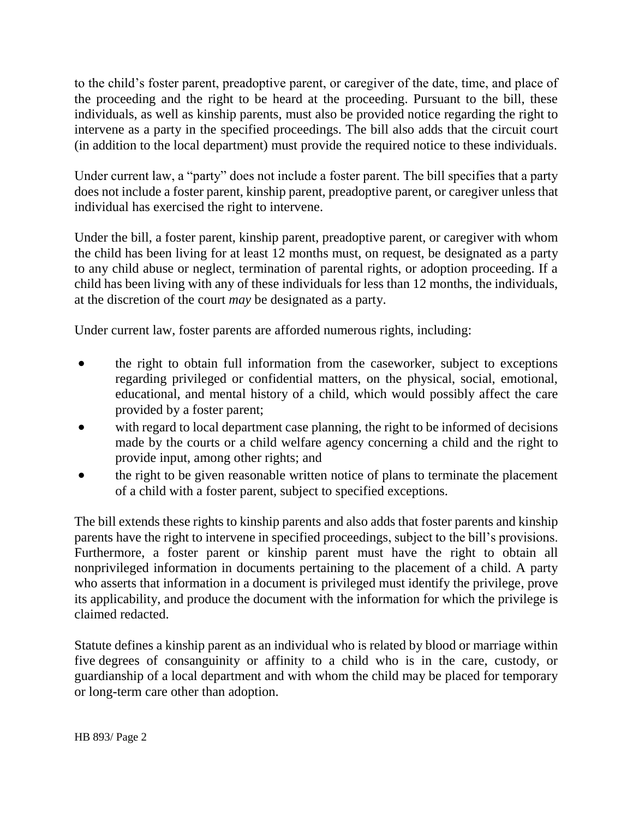to the child's foster parent, preadoptive parent, or caregiver of the date, time, and place of the proceeding and the right to be heard at the proceeding. Pursuant to the bill, these individuals, as well as kinship parents, must also be provided notice regarding the right to intervene as a party in the specified proceedings. The bill also adds that the circuit court (in addition to the local department) must provide the required notice to these individuals.

Under current law, a "party" does not include a foster parent. The bill specifies that a party does not include a foster parent, kinship parent, preadoptive parent, or caregiver unless that individual has exercised the right to intervene.

Under the bill, a foster parent, kinship parent, preadoptive parent, or caregiver with whom the child has been living for at least 12 months must, on request, be designated as a party to any child abuse or neglect, termination of parental rights, or adoption proceeding. If a child has been living with any of these individuals for less than 12 months, the individuals, at the discretion of the court *may* be designated as a party.

Under current law, foster parents are afforded numerous rights, including:

- the right to obtain full information from the caseworker, subject to exceptions regarding privileged or confidential matters, on the physical, social, emotional, educational, and mental history of a child, which would possibly affect the care provided by a foster parent;
- with regard to local department case planning, the right to be informed of decisions made by the courts or a child welfare agency concerning a child and the right to provide input, among other rights; and
- the right to be given reasonable written notice of plans to terminate the placement of a child with a foster parent, subject to specified exceptions.

The bill extends these rights to kinship parents and also adds that foster parents and kinship parents have the right to intervene in specified proceedings, subject to the bill's provisions. Furthermore, a foster parent or kinship parent must have the right to obtain all nonprivileged information in documents pertaining to the placement of a child. A party who asserts that information in a document is privileged must identify the privilege, prove its applicability, and produce the document with the information for which the privilege is claimed redacted.

Statute defines a kinship parent as an individual who is related by blood or marriage within five degrees of consanguinity or affinity to a child who is in the care, custody, or guardianship of a local department and with whom the child may be placed for temporary or long-term care other than adoption.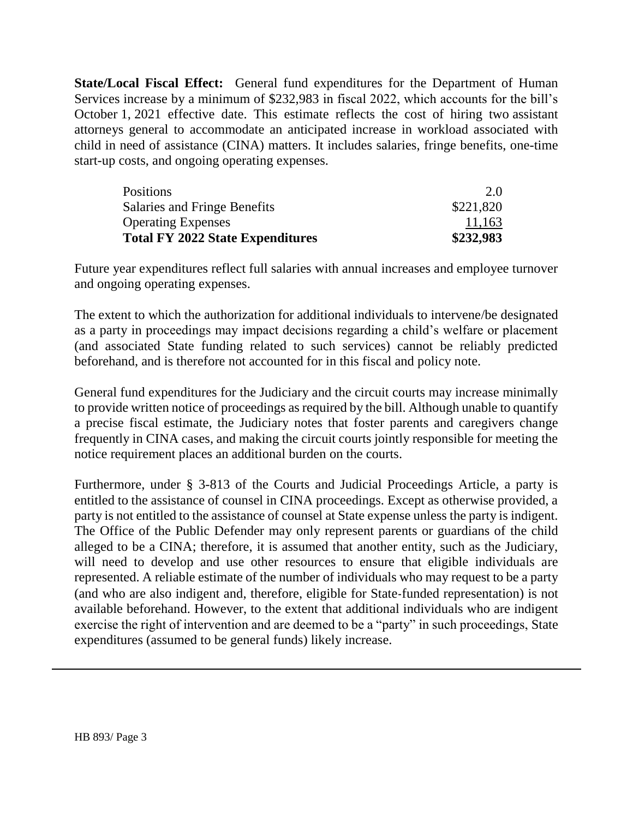**State/Local Fiscal Effect:** General fund expenditures for the Department of Human Services increase by a minimum of \$232,983 in fiscal 2022, which accounts for the bill's October 1, 2021 effective date. This estimate reflects the cost of hiring two assistant attorneys general to accommodate an anticipated increase in workload associated with child in need of assistance (CINA) matters. It includes salaries, fringe benefits, one-time start-up costs, and ongoing operating expenses.

| 11,163    |
|-----------|
| \$221,820 |
| 2.0       |
|           |

Future year expenditures reflect full salaries with annual increases and employee turnover and ongoing operating expenses.

The extent to which the authorization for additional individuals to intervene/be designated as a party in proceedings may impact decisions regarding a child's welfare or placement (and associated State funding related to such services) cannot be reliably predicted beforehand, and is therefore not accounted for in this fiscal and policy note.

General fund expenditures for the Judiciary and the circuit courts may increase minimally to provide written notice of proceedings as required by the bill. Although unable to quantify a precise fiscal estimate, the Judiciary notes that foster parents and caregivers change frequently in CINA cases, and making the circuit courts jointly responsible for meeting the notice requirement places an additional burden on the courts.

Furthermore, under § 3-813 of the Courts and Judicial Proceedings Article, a party is entitled to the assistance of counsel in CINA proceedings. Except as otherwise provided, a party is not entitled to the assistance of counsel at State expense unless the party is indigent. The Office of the Public Defender may only represent parents or guardians of the child alleged to be a CINA; therefore, it is assumed that another entity, such as the Judiciary, will need to develop and use other resources to ensure that eligible individuals are represented. A reliable estimate of the number of individuals who may request to be a party (and who are also indigent and, therefore, eligible for State-funded representation) is not available beforehand. However, to the extent that additional individuals who are indigent exercise the right of intervention and are deemed to be a "party" in such proceedings, State expenditures (assumed to be general funds) likely increase.